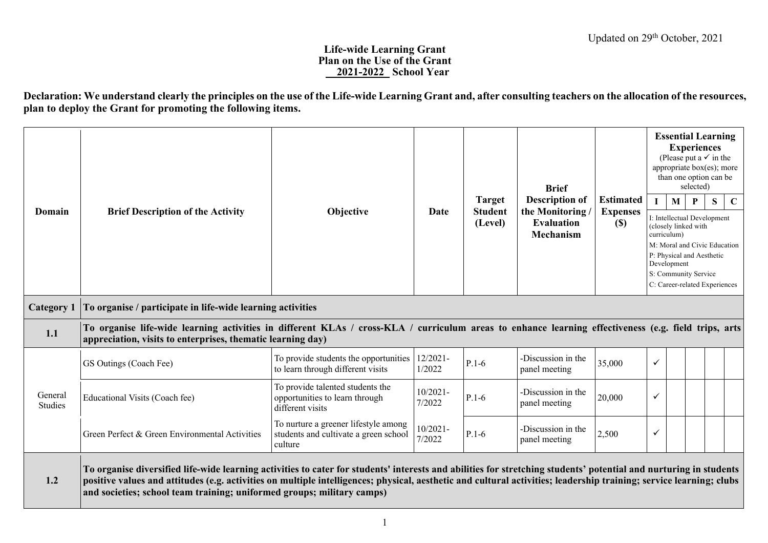## **Life-wide Learning Grant Plan on the Use of the Grant \_\_2021-2022\_ School Year**

**Declaration: We understand clearly the principles on the use of the Life-wide Learning Grant and, after consulting teachers on the allocation of the resources, plan to deploy the Grant for promoting the following items.**

| Domain             | <b>Brief Description of the Activity</b>                                                                                                                                                                                                                                                                                                                                                                           | Objective                                                                                                                                                                                                           | Date                  | <b>Target</b><br><b>Student</b><br>(Level) | <b>Brief</b><br><b>Description of</b><br>the Monitoring/<br><b>Evaluation</b><br><b>Mechanism</b> | <b>Estimated</b><br><b>Expenses</b><br>$\left( \mathbb{S}\right)$ | M<br>curriculum)<br>Development | <b>Essential Learning</b><br><b>Experiences</b><br>(Please put a $\checkmark$ in the<br>appropriate box(es); more<br>than one option can be<br>selected)<br>P<br>I: Intellectual Development<br>(closely linked with<br>M: Moral and Civic Education<br>P: Physical and Aesthetic<br>S: Community Service<br>C: Career-related Experiences | S | $\mathbf C$ |
|--------------------|--------------------------------------------------------------------------------------------------------------------------------------------------------------------------------------------------------------------------------------------------------------------------------------------------------------------------------------------------------------------------------------------------------------------|---------------------------------------------------------------------------------------------------------------------------------------------------------------------------------------------------------------------|-----------------------|--------------------------------------------|---------------------------------------------------------------------------------------------------|-------------------------------------------------------------------|---------------------------------|--------------------------------------------------------------------------------------------------------------------------------------------------------------------------------------------------------------------------------------------------------------------------------------------------------------------------------------------|---|-------------|
| <b>Category 1</b>  | To organise / participate in life-wide learning activities                                                                                                                                                                                                                                                                                                                                                         |                                                                                                                                                                                                                     |                       |                                            |                                                                                                   |                                                                   |                                 |                                                                                                                                                                                                                                                                                                                                            |   |             |
| 1.1                |                                                                                                                                                                                                                                                                                                                                                                                                                    | To organise life-wide learning activities in different KLAs / cross-KLA / curriculum areas to enhance learning effectiveness (e.g. field trips, arts<br>appreciation, visits to enterprises, thematic learning day) |                       |                                            |                                                                                                   |                                                                   |                                 |                                                                                                                                                                                                                                                                                                                                            |   |             |
|                    | GS Outings (Coach Fee)                                                                                                                                                                                                                                                                                                                                                                                             | To provide students the opportunities<br>to learn through different visits                                                                                                                                          | 12/2021-<br>1/2022    | $P.1-6$                                    | -Discussion in the<br>panel meeting                                                               | 35,000                                                            | $\checkmark$                    |                                                                                                                                                                                                                                                                                                                                            |   |             |
| General<br>Studies | Educational Visits (Coach fee)                                                                                                                                                                                                                                                                                                                                                                                     | To provide talented students the<br>opportunities to learn through<br>different visits                                                                                                                              | $10/2021 -$<br>7/2022 | $P.1-6$                                    | -Discussion in the<br>panel meeting                                                               | 20,000                                                            | ✓                               |                                                                                                                                                                                                                                                                                                                                            |   |             |
|                    | Green Perfect & Green Environmental Activities                                                                                                                                                                                                                                                                                                                                                                     | To nurture a greener lifestyle among<br>students and cultivate a green school<br>culture                                                                                                                            | $10/2021 -$<br>7/2022 | $P.1-6$                                    | -Discussion in the<br>panel meeting                                                               | 2,500                                                             | ✓                               |                                                                                                                                                                                                                                                                                                                                            |   |             |
| 1.2                | To organise diversified life-wide learning activities to cater for students' interests and abilities for stretching students' potential and nurturing in students<br>positive values and attitudes (e.g. activities on multiple intelligences; physical, aesthetic and cultural activities; leadership training; service learning; clubs<br>and societies; school team training; uniformed groups; military camps) |                                                                                                                                                                                                                     |                       |                                            |                                                                                                   |                                                                   |                                 |                                                                                                                                                                                                                                                                                                                                            |   |             |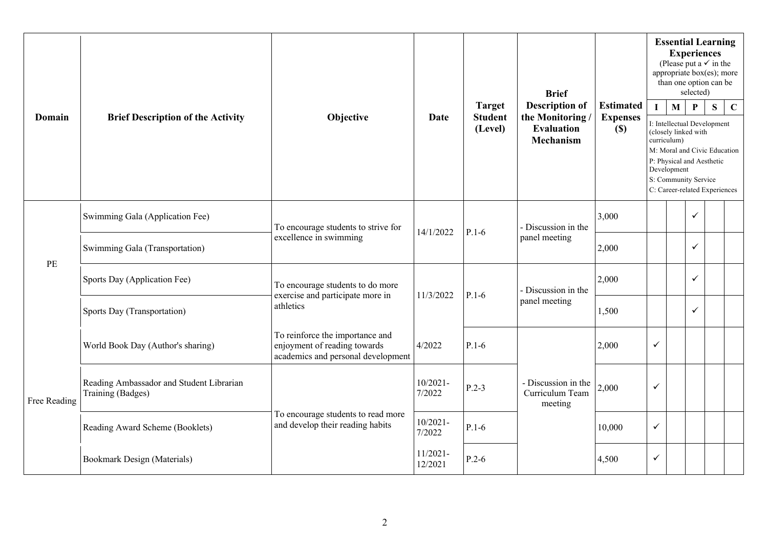|                                       |                                                               |                                                                                                       |                        |                                 | <b>Brief</b>                                      |                                     |                                                                                                                                                                                                         | <b>Experiences</b> | selected)    | <b>Essential Learning</b><br>(Please put a $\checkmark$ in the<br>appropriate box(es); more<br>than one option can be |             |
|---------------------------------------|---------------------------------------------------------------|-------------------------------------------------------------------------------------------------------|------------------------|---------------------------------|---------------------------------------------------|-------------------------------------|---------------------------------------------------------------------------------------------------------------------------------------------------------------------------------------------------------|--------------------|--------------|-----------------------------------------------------------------------------------------------------------------------|-------------|
| Domain                                | <b>Brief Description of the Activity</b>                      | Objective                                                                                             | <b>Date</b>            | <b>Target</b><br><b>Student</b> | <b>Description of</b><br>the Monitoring           | <b>Estimated</b><br><b>Expenses</b> | $\mathbf{I}$                                                                                                                                                                                            | M                  | P            | S                                                                                                                     | $\mathbf C$ |
|                                       |                                                               |                                                                                                       |                        | (Level)                         | <b>Evaluation</b><br><b>Mechanism</b>             | $(\$)$                              | I: Intellectual Development<br>(closely linked with<br>curriculum)<br>M: Moral and Civic Education<br>P: Physical and Aesthetic<br>Development<br>S: Community Service<br>C: Career-related Experiences |                    |              |                                                                                                                       |             |
|                                       | Swimming Gala (Application Fee)                               | To encourage students to strive for                                                                   | 14/1/2022              | $P.1-6$                         | - Discussion in the                               | 3,000                               |                                                                                                                                                                                                         |                    | $\checkmark$ |                                                                                                                       |             |
|                                       | Swimming Gala (Transportation)                                | excellence in swimming                                                                                |                        |                                 | panel meeting                                     | 2,000                               |                                                                                                                                                                                                         |                    | ✓            |                                                                                                                       |             |
| $\ensuremath{\mathop{\text{\rm PE}}}$ | Sports Day (Application Fee)                                  | To encourage students to do more                                                                      |                        |                                 | - Discussion in the                               | 2,000                               |                                                                                                                                                                                                         |                    | $\checkmark$ |                                                                                                                       |             |
|                                       | Sports Day (Transportation)                                   | exercise and participate more in<br>11/3/2022<br>$P.1-6$<br>panel meeting<br>athletics                |                        | 1,500                           |                                                   |                                     | $\checkmark$                                                                                                                                                                                            |                    |              |                                                                                                                       |             |
|                                       | World Book Day (Author's sharing)                             | To reinforce the importance and<br>enjoyment of reading towards<br>academics and personal development | 4/2022                 | $P.1-6$                         |                                                   | 2,000                               | $\checkmark$                                                                                                                                                                                            |                    |              |                                                                                                                       |             |
| Free Reading                          | Reading Ambassador and Student Librarian<br>Training (Badges) |                                                                                                       | $10/2021 -$<br>7/2022  | $P.2-3$                         | - Discussion in the<br>Curriculum Team<br>meeting | 2,000                               | $\checkmark$                                                                                                                                                                                            |                    |              |                                                                                                                       |             |
|                                       | Reading Award Scheme (Booklets)                               | To encourage students to read more<br>and develop their reading habits                                | $10/2021 -$<br>7/2022  | $P.1-6$                         | 10,000                                            |                                     | $\checkmark$                                                                                                                                                                                            |                    |              |                                                                                                                       |             |
| Bookmark Design (Materials)           |                                                               |                                                                                                       | $11/2021 -$<br>12/2021 | $P.2-6$                         | 4,500                                             |                                     | ✓                                                                                                                                                                                                       |                    |              |                                                                                                                       |             |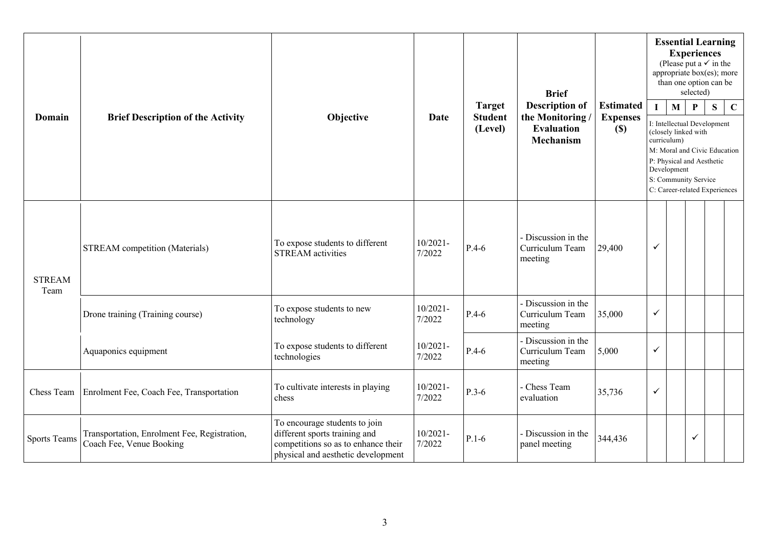|                       |                                                                          |                                                                                                                                             |                       | <b>Brief</b>                               |                                                                                   |                                               | <b>Essential Learning</b><br><b>Experiences</b><br>(Please put a $\checkmark$ in the<br>appropriate box(es); more<br>than one option can be<br>selected) |                                                                                                                                                                                               |              |   |             |
|-----------------------|--------------------------------------------------------------------------|---------------------------------------------------------------------------------------------------------------------------------------------|-----------------------|--------------------------------------------|-----------------------------------------------------------------------------------|-----------------------------------------------|----------------------------------------------------------------------------------------------------------------------------------------------------------|-----------------------------------------------------------------------------------------------------------------------------------------------------------------------------------------------|--------------|---|-------------|
| Domain                | <b>Brief Description of the Activity</b>                                 | Objective                                                                                                                                   | <b>Date</b>           | <b>Target</b><br><b>Student</b><br>(Level) | <b>Description of</b><br>the Monitoring/<br><b>Evaluation</b><br><b>Mechanism</b> | <b>Estimated</b><br><b>Expenses</b><br>$(\$)$ | L<br>curriculum)                                                                                                                                         | M<br>I: Intellectual Development<br>(closely linked with<br>M: Moral and Civic Education<br>P: Physical and Aesthetic<br>Development<br>S: Community Service<br>C: Career-related Experiences | P            | S | $\mathbf C$ |
| <b>STREAM</b><br>Team | <b>STREAM</b> competition (Materials)                                    | To expose students to different<br><b>STREAM</b> activities                                                                                 | $10/2021 -$<br>7/2022 | $P.4-6$                                    | - Discussion in the<br>Curriculum Team<br>meeting                                 | 29,400                                        | $\checkmark$                                                                                                                                             |                                                                                                                                                                                               |              |   |             |
|                       | Drone training (Training course)                                         | To expose students to new<br>technology                                                                                                     | $10/2021 -$<br>7/2022 | $P.4-6$                                    | - Discussion in the<br>Curriculum Team<br>meeting                                 | 35,000                                        | $\checkmark$                                                                                                                                             |                                                                                                                                                                                               |              |   |             |
|                       | Aquaponics equipment                                                     | To expose students to different<br>technologies                                                                                             | $10/2021 -$<br>7/2022 | $P.4-6$                                    | - Discussion in the<br>Curriculum Team<br>meeting                                 | 5,000                                         | ✓                                                                                                                                                        |                                                                                                                                                                                               |              |   |             |
| Chess Team            | Enrolment Fee, Coach Fee, Transportation                                 | To cultivate interests in playing<br>chess                                                                                                  | $10/2021 -$<br>7/2022 | $P.3-6$                                    | - Chess Team<br>evaluation                                                        | 35,736                                        | $\checkmark$                                                                                                                                             |                                                                                                                                                                                               |              |   |             |
| <b>Sports Teams</b>   | Transportation, Enrolment Fee, Registration,<br>Coach Fee, Venue Booking | To encourage students to join<br>different sports training and<br>competitions so as to enhance their<br>physical and aesthetic development | $10/2021 -$<br>7/2022 | $P.1-6$                                    | - Discussion in the<br>panel meeting                                              | 344,436                                       |                                                                                                                                                          |                                                                                                                                                                                               | $\checkmark$ |   |             |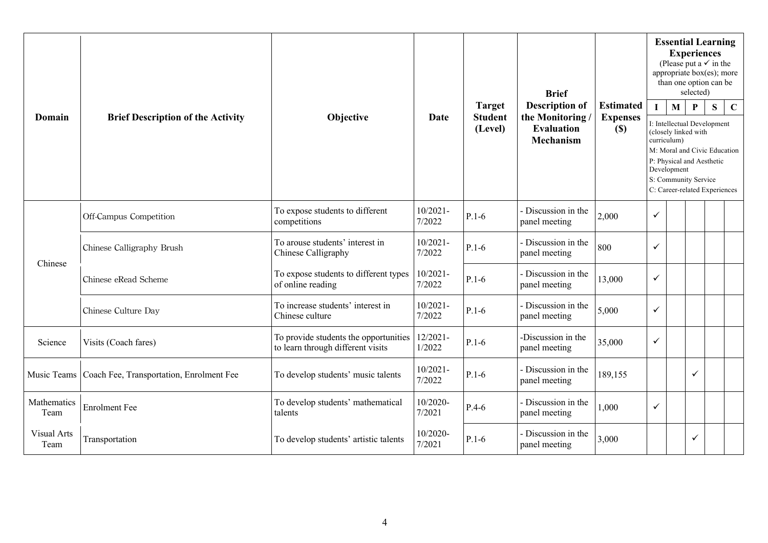|                     |                                          |                                                                            |                       |                                            | <b>Brief</b>                                                                     |                                            |             | <b>Essential Learning</b><br><b>Experiences</b><br>(Please put a $\checkmark$ in the<br>appropriate box(es); more<br>than one option can be                                                   | selected)    |   |             |
|---------------------|------------------------------------------|----------------------------------------------------------------------------|-----------------------|--------------------------------------------|----------------------------------------------------------------------------------|--------------------------------------------|-------------|-----------------------------------------------------------------------------------------------------------------------------------------------------------------------------------------------|--------------|---|-------------|
| <b>Domain</b>       | <b>Brief Description of the Activity</b> | Objective                                                                  | Date                  | <b>Target</b><br><b>Student</b><br>(Level) | <b>Description of</b><br>the Monitoring<br><b>Evaluation</b><br><b>Mechanism</b> | <b>Estimated</b><br><b>Expenses</b><br>(S) | curriculum) | M<br>I: Intellectual Development<br>(closely linked with<br>M: Moral and Civic Education<br>P: Physical and Aesthetic<br>Development<br>S: Community Service<br>C: Career-related Experiences | $\mathbf{P}$ | S | $\mathbf C$ |
|                     | Off-Campus Competition                   | To expose students to different<br>competitions                            | $10/2021 -$<br>7/2022 | $P.1-6$                                    | - Discussion in the<br>panel meeting                                             | 2,000                                      | ✓           |                                                                                                                                                                                               |              |   |             |
| Chinese             | Chinese Calligraphy Brush                | To arouse students' interest in<br>Chinese Calligraphy                     | $10/2021 -$<br>7/2022 | $P.1-6$                                    | - Discussion in the<br>panel meeting                                             | 800                                        | ✓           |                                                                                                                                                                                               |              |   |             |
|                     | Chinese eRead Scheme                     | To expose students to different types<br>of online reading                 | $10/2021 -$<br>7/2022 | $P.1-6$                                    | - Discussion in the<br>panel meeting                                             | 13,000                                     | ✓           |                                                                                                                                                                                               |              |   |             |
|                     | Chinese Culture Day                      | To increase students' interest in<br>Chinese culture                       | $10/2021 -$<br>7/2022 | $P.1-6$                                    | - Discussion in the<br>panel meeting                                             | 5,000                                      | ✓           |                                                                                                                                                                                               |              |   |             |
| Science             | Visits (Coach fares)                     | To provide students the opportunities<br>to learn through different visits | $12/2021 -$<br>1/2022 | $P.1-6$                                    | -Discussion in the<br>panel meeting                                              | 35,000                                     | ✓           |                                                                                                                                                                                               |              |   |             |
| Music Teams         | Coach Fee, Transportation, Enrolment Fee | To develop students' music talents                                         | $10/2021 -$<br>7/2022 | $P.1-6$                                    | - Discussion in the<br>panel meeting                                             | 189,155                                    |             |                                                                                                                                                                                               | $\checkmark$ |   |             |
| Mathematics<br>Team | <b>Enrolment Fee</b>                     | To develop students' mathematical<br>talents                               | 10/2020-<br>7/2021    | $P.4-6$                                    | - Discussion in the<br>panel meeting                                             | 1,000                                      | ✓           |                                                                                                                                                                                               |              |   |             |
| Visual Arts<br>Team | Transportation                           | To develop students' artistic talents                                      | 10/2020-<br>7/2021    | $P.1-6$                                    | - Discussion in the<br>panel meeting                                             | 3,000                                      |             |                                                                                                                                                                                               | ✓            |   |             |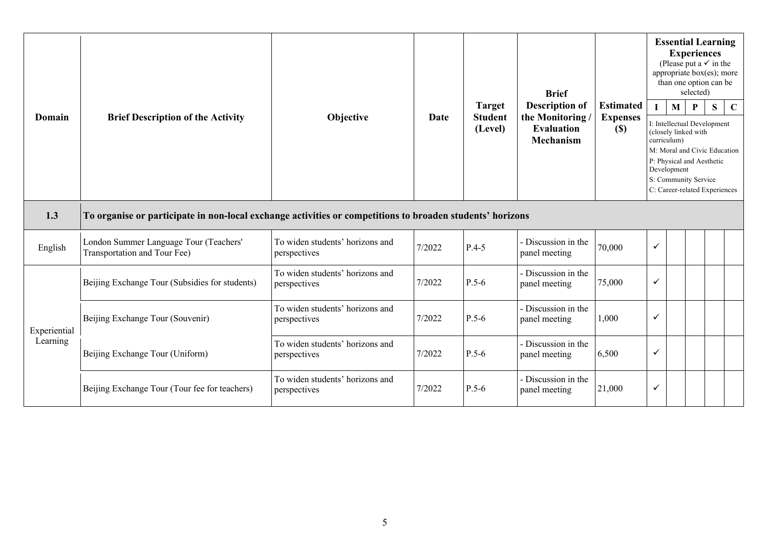|                          |                                                                                                           |                                                 |                                                    |         | <b>Brief</b>                                                              |                                              |                                                                                                                                                                                                                                       | <b>Essential Learning</b><br><b>Experiences</b><br>(Please put a $\checkmark$ in the<br>appropriate box(es); more<br>than one option can be | selected) |  |  |
|--------------------------|-----------------------------------------------------------------------------------------------------------|-------------------------------------------------|----------------------------------------------------|---------|---------------------------------------------------------------------------|----------------------------------------------|---------------------------------------------------------------------------------------------------------------------------------------------------------------------------------------------------------------------------------------|---------------------------------------------------------------------------------------------------------------------------------------------|-----------|--|--|
| <b>Domain</b>            | <b>Brief Description of the Activity</b>                                                                  | Objective                                       | <b>Target</b><br>Date<br><b>Student</b><br>(Level) |         | <b>Description of</b><br>the Monitoring<br><b>Evaluation</b><br>Mechanism | <b>Estimated</b><br><b>Expenses</b><br>$(S)$ | $\mathbf C$<br>M<br>S<br>P<br>I: Intellectual Development<br>(closely linked with<br>curriculum)<br>M: Moral and Civic Education<br>P: Physical and Aesthetic<br>Development<br>S: Community Service<br>C: Career-related Experiences |                                                                                                                                             |           |  |  |
| 1.3                      | To organise or participate in non-local exchange activities or competitions to broaden students' horizons |                                                 |                                                    |         |                                                                           |                                              |                                                                                                                                                                                                                                       |                                                                                                                                             |           |  |  |
| English                  | London Summer Language Tour (Teachers'<br>Transportation and Tour Fee)                                    | To widen students' horizons and<br>perspectives | 7/2022                                             | $P.4-5$ | - Discussion in the<br>panel meeting                                      | 70,000                                       | $\checkmark$                                                                                                                                                                                                                          |                                                                                                                                             |           |  |  |
|                          | Beijing Exchange Tour (Subsidies for students)                                                            | To widen students' horizons and<br>perspectives | 7/2022                                             | $P.5-6$ | - Discussion in the<br>panel meeting                                      | 75,000                                       | $\checkmark$                                                                                                                                                                                                                          |                                                                                                                                             |           |  |  |
| Experiential<br>Learning | Beijing Exchange Tour (Souvenir)                                                                          | To widen students' horizons and<br>perspectives | 7/2022                                             | $P.5-6$ | - Discussion in the<br>panel meeting                                      | 1,000                                        | $\checkmark$                                                                                                                                                                                                                          |                                                                                                                                             |           |  |  |
|                          | Beijing Exchange Tour (Uniform)                                                                           | To widen students' horizons and<br>perspectives | 7/2022                                             | $P.5-6$ | - Discussion in the<br>panel meeting                                      | 6,500                                        | ✓                                                                                                                                                                                                                                     |                                                                                                                                             |           |  |  |
|                          | Beijing Exchange Tour (Tour fee for teachers)                                                             | To widen students' horizons and<br>perspectives | 7/2022                                             | $P.5-6$ | - Discussion in the<br>panel meeting                                      | 21,000                                       | ✓                                                                                                                                                                                                                                     |                                                                                                                                             |           |  |  |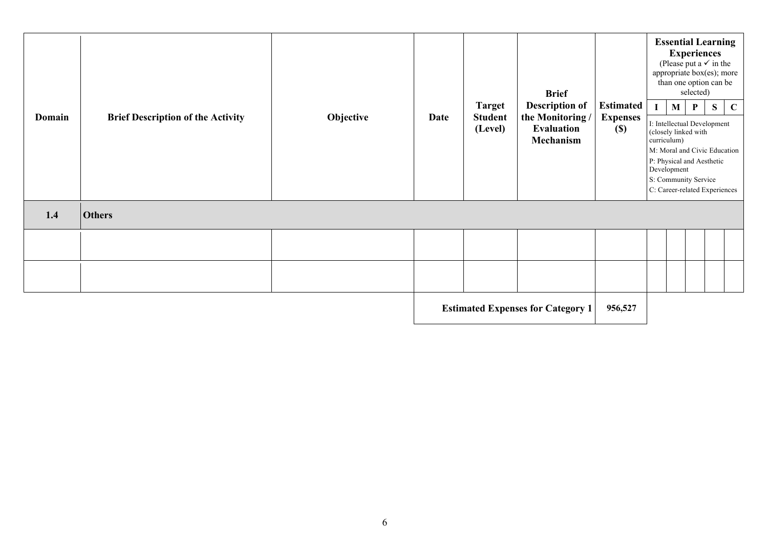|        | <b>Target</b> | <b>Brief Description of the Activity</b><br>Objective<br><b>Date</b> |                           |                                                    | <b>Brief</b><br><b>Description of</b>         |                                                                  |                  |                                                                                                                                      | <b>Essential Learning</b><br><b>Experiences</b><br>(Please put a $\checkmark$ in the<br>appropriate box(es); more<br>than one option can be<br>selected) |             |  |
|--------|---------------|----------------------------------------------------------------------|---------------------------|----------------------------------------------------|-----------------------------------------------|------------------------------------------------------------------|------------------|--------------------------------------------------------------------------------------------------------------------------------------|----------------------------------------------------------------------------------------------------------------------------------------------------------|-------------|--|
| Domain |               |                                                                      | <b>Student</b><br>(Level) | the Monitoring /<br><b>Evaluation</b><br>Mechanism | <b>Estimated</b><br><b>Expenses</b><br>$(\$)$ | (closely linked with<br>curriculum)<br>P: Physical and Aesthetic | M<br>Development | $\mathbf{P}$<br>I: Intellectual Development<br>M: Moral and Civic Education<br>S: Community Service<br>C: Career-related Experiences | S                                                                                                                                                        | $\mathbf C$ |  |
| 1.4    | <b>Others</b> |                                                                      |                           |                                                    |                                               |                                                                  |                  |                                                                                                                                      |                                                                                                                                                          |             |  |
|        |               |                                                                      |                           |                                                    |                                               |                                                                  |                  |                                                                                                                                      |                                                                                                                                                          |             |  |
|        |               |                                                                      |                           |                                                    |                                               |                                                                  |                  |                                                                                                                                      |                                                                                                                                                          |             |  |
|        |               |                                                                      |                           |                                                    | <b>Estimated Expenses for Category 1</b>      | 956,527                                                          |                  |                                                                                                                                      |                                                                                                                                                          |             |  |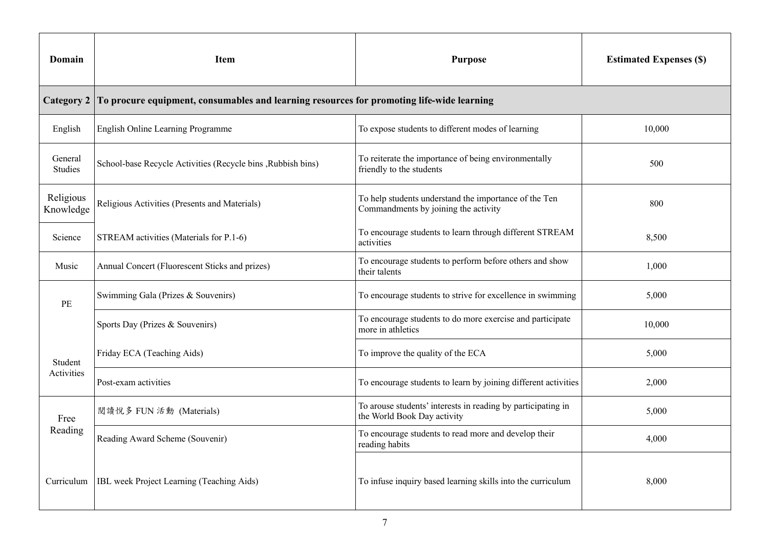| Domain                 | <b>Item</b>                                                                                                                | <b>Estimated Expenses (\$)</b>                                                              |        |
|------------------------|----------------------------------------------------------------------------------------------------------------------------|---------------------------------------------------------------------------------------------|--------|
| <b>Category 2</b>      | To procure equipment, consumables and learning resources for promoting life-wide learning                                  |                                                                                             |        |
| English                | English Online Learning Programme                                                                                          | To expose students to different modes of learning                                           | 10,000 |
| General<br>Studies     | School-base Recycle Activities (Recycle bins, Rubbish bins)                                                                | To reiterate the importance of being environmentally<br>friendly to the students            | 500    |
| Religious<br>Knowledge | Religious Activities (Presents and Materials)                                                                              | 800                                                                                         |        |
| Science                | STREAM activities (Materials for P.1-6)                                                                                    | 8,500                                                                                       |        |
| Music                  | To encourage students to perform before others and show<br>Annual Concert (Fluorescent Sticks and prizes)<br>their talents |                                                                                             | 1,000  |
| PE                     | Swimming Gala (Prizes & Souvenirs)<br>To encourage students to strive for excellence in swimming                           |                                                                                             | 5,000  |
|                        | Sports Day (Prizes & Souvenirs)                                                                                            | To encourage students to do more exercise and participate<br>more in athletics              | 10,000 |
| Student                | Friday ECA (Teaching Aids)                                                                                                 | To improve the quality of the ECA                                                           | 5,000  |
| Activities             | Post-exam activities                                                                                                       | To encourage students to learn by joining different activities                              | 2,000  |
| Free                   | 閲讀悅多 FUN 活動 (Materials)                                                                                                    | To arouse students' interests in reading by participating in<br>the World Book Day activity | 5,000  |
| Reading                | Reading Award Scheme (Souvenir)                                                                                            | To encourage students to read more and develop their<br>reading habits                      | 4,000  |
| Curriculum             | IBL week Project Learning (Teaching Aids)                                                                                  | To infuse inquiry based learning skills into the curriculum                                 | 8,000  |